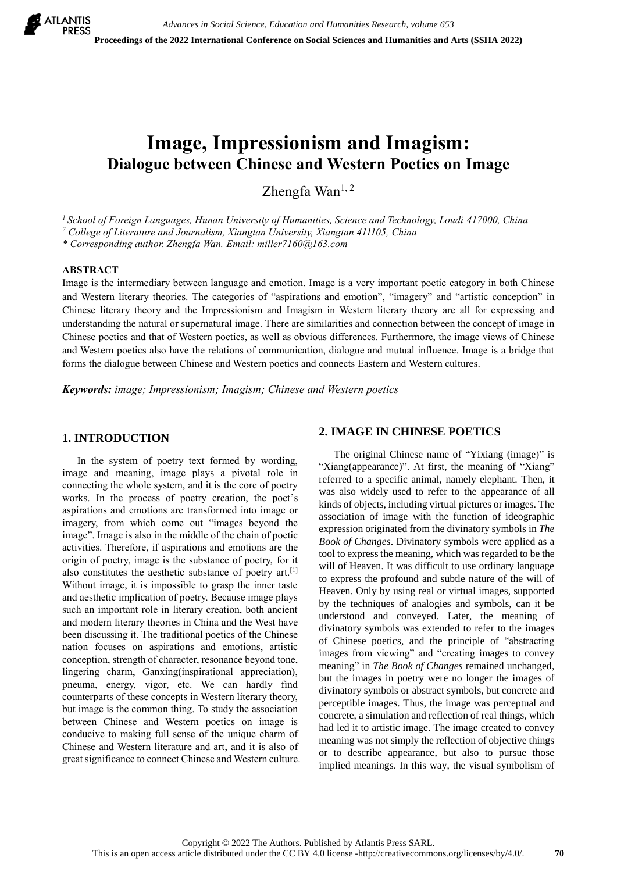

# **Image, Impressionism and Imagism: Dialogue between Chinese and Western Poetics on Image**

Zhengfa Wan $^{1,2}$ 

*<sup>1</sup>School of Foreign Languages, Hunan University of Humanities, Science and Technology, Loudi 417000, China*

*<sup>2</sup> College of Literature and Journalism, Xiangtan University, Xiangtan 411105, China*

*\* Corresponding author. Zhengfa Wan. Email: miller7160@163.com*

#### **ABSTRACT**

Image is the intermediary between language and emotion. Image is a very important poetic category in both Chinese and Western literary theories. The categories of "aspirations and emotion", "imagery" and "artistic conception" in Chinese literary theory and the Impressionism and Imagism in Western literary theory are all for expressing and understanding the natural or supernatural image. There are similarities and connection between the concept of image in Chinese poetics and that of Western poetics, as well as obvious differences. Furthermore, the image views of Chinese and Western poetics also have the relations of communication, dialogue and mutual influence. Image is a bridge that forms the dialogue between Chinese and Western poetics and connects Eastern and Western cultures.

*Keywords: image; Impressionism; Imagism; Chinese and Western poetics*

## **1. INTRODUCTION**

In the system of poetry text formed by wording, image and meaning, image plays a pivotal role in connecting the whole system, and it is the core of poetry works. In the process of poetry creation, the poet's aspirations and emotions are transformed into image or imagery, from which come out "images beyond the image". Image is also in the middle of the chain of poetic activities. Therefore, if aspirations and emotions are the origin of poetry, image is the substance of poetry, for it also constitutes the aesthetic substance of poetry art.<sup>[1]</sup> Without image, it is impossible to grasp the inner taste and aesthetic implication of poetry. Because image plays such an important role in literary creation, both ancient and modern literary theories in China and the West have been discussing it. The traditional poetics of the Chinese nation focuses on aspirations and emotions, artistic conception, strength of character, resonance beyond tone, lingering charm, Ganxing(inspirational appreciation), pneuma, energy, vigor, etc. We can hardly find counterparts of these concepts in Western literary theory, but image is the common thing. To study the association between Chinese and Western poetics on image is conducive to making full sense of the unique charm of Chinese and Western literature and art, and it is also of great significance to connect Chinese and Western culture.

## **2. IMAGE IN CHINESE POETICS**

The original Chinese name of "Yixiang (image)" is "Xiang(appearance)". At first, the meaning of "Xiang" referred to a specific animal, namely elephant. Then, it was also widely used to refer to the appearance of all kinds of objects, including virtual pictures or images. The association of image with the function of ideographic expression originated from the divinatory symbols in *The Book of Changes*. Divinatory symbols were applied as a tool to express the meaning, which was regarded to be the will of Heaven. It was difficult to use ordinary language to express the profound and subtle nature of the will of Heaven. Only by using real or virtual images, supported by the techniques of analogies and symbols, can it be understood and conveyed. Later, the meaning of divinatory symbols was extended to refer to the images of Chinese poetics, and the principle of "abstracting images from viewing" and "creating images to convey meaning" in *The Book of Changes* remained unchanged, but the images in poetry were no longer the images of divinatory symbols or abstract symbols, but concrete and perceptible images. Thus, the image was perceptual and concrete, a simulation and reflection of real things, which had led it to artistic image. The image created to convey meaning was not simply the reflection of objective things or to describe appearance, but also to pursue those implied meanings. In this way, the visual symbolism of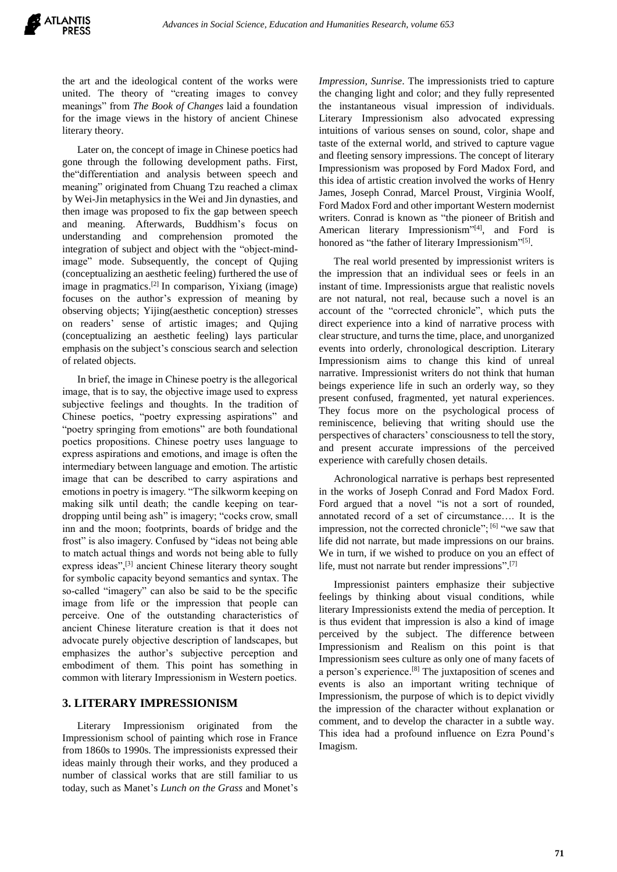the art and the ideological content of the works were united. The theory of "creating images to convey meanings" from *The Book of Changes* laid a foundation for the image views in the history of ancient Chinese literary theory.

Later on, the concept of image in Chinese poetics had gone through the following development paths. First, the"differentiation and analysis between speech and meaning" originated from Chuang Tzu reached a climax by Wei-Jin metaphysics in the Wei and Jin dynasties, and then image was proposed to fix the gap between speech and meaning. Afterwards, Buddhism's focus on understanding and comprehension promoted the integration of subject and object with the "object-mindimage" mode. Subsequently, the concept of Qujing (conceptualizing an aesthetic feeling) furthered the use of image in pragmatics.<sup>[2]</sup> In comparison, Yixiang (image) focuses on the author's expression of meaning by observing objects; Yijing(aesthetic conception) stresses on readers' sense of artistic images; and Qujing (conceptualizing an aesthetic feeling) lays particular emphasis on the subject's conscious search and selection of related objects.

In brief, the image in Chinese poetry is the allegorical image, that is to say, the objective image used to express subjective feelings and thoughts. In the tradition of Chinese poetics, "poetry expressing aspirations" and "poetry springing from emotions" are both foundational poetics propositions. Chinese poetry uses language to express aspirations and emotions, and image is often the intermediary between language and emotion. The artistic image that can be described to carry aspirations and emotions in poetry is imagery. "The silkworm keeping on making silk until death; the candle keeping on teardropping until being ash" is imagery; "cocks crow, small inn and the moon; footprints, boards of bridge and the frost" is also imagery. Confused by "ideas not being able to match actual things and words not being able to fully express ideas",<sup>[3]</sup> ancient Chinese literary theory sought for symbolic capacity beyond semantics and syntax. The so-called "imagery" can also be said to be the specific image from life or the impression that people can perceive. One of the outstanding characteristics of ancient Chinese literature creation is that it does not advocate purely objective description of landscapes, but emphasizes the author's subjective perception and embodiment of them. This point has something in common with literary Impressionism in Western poetics.

## **3. LITERARY IMPRESSIONISM**

Literary Impressionism originated from the Impressionism school of painting which rose in France from 1860s to 1990s. The impressionists expressed their ideas mainly through their works, and they produced a number of classical works that are still familiar to us today, such as Manet's *Lunch on the Grass* and Monet's *Impression, Sunrise*. The impressionists tried to capture the changing light and color; and they fully represented the instantaneous visual impression of individuals. Literary Impressionism also advocated expressing intuitions of various senses on sound, color, shape and taste of the external world, and strived to capture vague and fleeting sensory impressions. The concept of literary Impressionism was proposed by Ford Madox Ford, and this idea of artistic creation involved the works of Henry James, Joseph Conrad, Marcel Proust, Virginia Woolf, Ford Madox Ford and other important Western modernist writers. Conrad is known as "the pioneer of British and American literary Impressionism"<sup>[4]</sup>, and Ford is honored as "the father of literary Impressionism"<sup>[5]</sup>.

The real world presented by impressionist writers is the impression that an individual sees or feels in an instant of time. Impressionists argue that realistic novels are not natural, not real, because such a novel is an account of the "corrected chronicle", which puts the direct experience into a kind of narrative process with clear structure, and turns the time, place, and unorganized events into orderly, chronological description. Literary Impressionism aims to change this kind of unreal narrative. Impressionist writers do not think that human beings experience life in such an orderly way, so they present confused, fragmented, yet natural experiences. They focus more on the psychological process of reminiscence, believing that writing should use the perspectives of characters' consciousness to tell the story, and present accurate impressions of the perceived experience with carefully chosen details.

Achronological narrative is perhaps best represented in the works of Joseph Conrad and Ford Madox Ford. Ford argued that a novel "is not a sort of rounded, annotated record of a set of circumstance…. It is the impression, not the corrected chronicle"; [6] "we saw that life did not narrate, but made impressions on our brains. We in turn, if we wished to produce on you an effect of life, must not narrate but render impressions". [7]

Impressionist painters emphasize their subjective feelings by thinking about visual conditions, while literary Impressionists extend the media of perception. It is thus evident that impression is also a kind of image perceived by the subject. The difference between Impressionism and Realism on this point is that Impressionism sees culture as only one of many facets of a person's experience.<sup>[8]</sup> The juxtaposition of scenes and events is also an important writing technique of Impressionism, the purpose of which is to depict vividly the impression of the character without explanation or comment, and to develop the character in a subtle way. This idea had a profound influence on Ezra Pound's Imagism.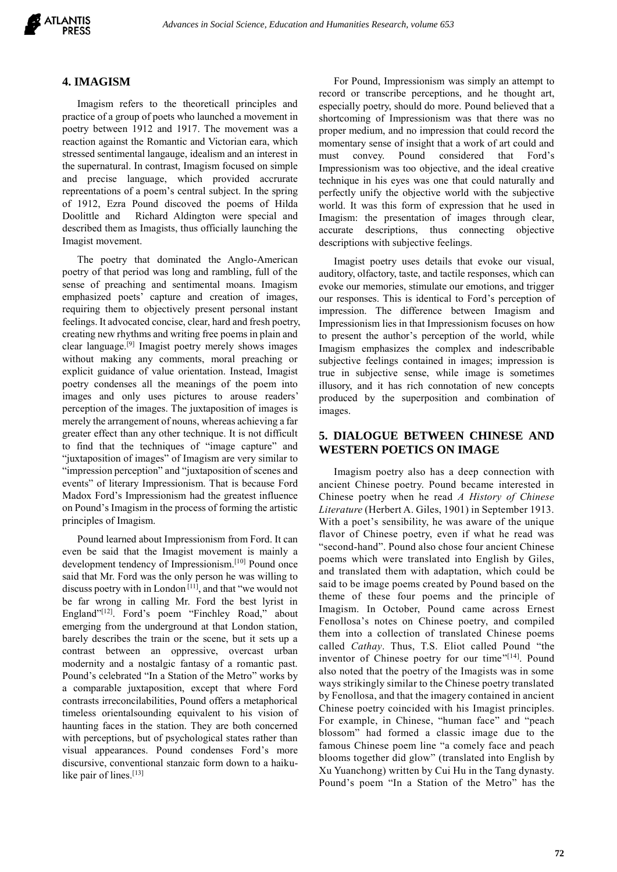

#### **4. IMAGISM**

Imagism refers to the theoreticall principles and practice of a group of poets who launched a movement in poetry between 1912 and 1917. The movement was a reaction against the Romantic and Victorian eara, which stressed sentimental langauge, idealism and an interest in the supernatural. In contrast, Imagism focused on simple and precise language, which provided accrurate repreentations of a poem's central subject. In the spring of 1912, Ezra Pound discoved the poems of Hilda Doolittle and Richard Aldington were special and described them as Imagists, thus officially launching the Imagist movement.

The poetry that dominated the Anglo-American poetry of that period was long and rambling, full of the sense of preaching and sentimental moans. Imagism emphasized poets' capture and creation of images, requiring them to objectively present personal instant feelings. It advocated concise, clear, hard and fresh poetry, creating new rhythms and writing free poems in plain and clear language.[9] Imagist poetry merely shows images without making any comments, moral preaching or explicit guidance of value orientation. Instead, Imagist poetry condenses all the meanings of the poem into images and only uses pictures to arouse readers' perception of the images. The juxtaposition of images is merely the arrangement of nouns, whereas achieving a far greater effect than any other technique. It is not difficult to find that the techniques of "image capture" and "juxtaposition of images" of Imagism are very similar to "impression perception" and "juxtaposition of scenes and events" of literary Impressionism. That is because Ford Madox Ford's Impressionism had the greatest influence on Pound's Imagism in the process of forming the artistic principles of Imagism.

Pound learned about Impressionism from Ford. It can even be said that the Imagist movement is mainly a development tendency of Impressionism.<sup>[10]</sup> Pound once said that Mr. Ford was the only person he was willing to discuss poetry with in London<sup>[11]</sup>, and that "we would not be far wrong in calling Mr. Ford the best lyrist in England"<sup>[12]</sup>. Ford's poem "Finchley Road," about emerging from the underground at that London station, barely describes the train or the scene, but it sets up a contrast between an oppressive, overcast urban modernity and a nostalgic fantasy of a romantic past. Pound's celebrated "In a Station of the Metro" works by a comparable juxtaposition, except that where Ford contrasts irreconcilabilities, Pound offers a metaphorical timeless orientalsounding equivalent to his vision of haunting faces in the station. They are both concerned with perceptions, but of psychological states rather than visual appearances. Pound condenses Ford's more discursive, conventional stanzaic form down to a haikulike pair of lines.<sup>[13]</sup>

For Pound, Impressionism was simply an attempt to record or transcribe perceptions, and he thought art, especially poetry, should do more. Pound believed that a shortcoming of Impressionism was that there was no proper medium, and no impression that could record the momentary sense of insight that a work of art could and must convey. Pound considered that Ford's Impressionism was too objective, and the ideal creative technique in his eyes was one that could naturally and perfectly unify the objective world with the subjective world. It was this form of expression that he used in Imagism: the presentation of images through clear, accurate descriptions, thus connecting objective descriptions with subjective feelings.

Imagist poetry uses details that evoke our visual, auditory, olfactory, taste, and tactile responses, which can evoke our memories, stimulate our emotions, and trigger our responses. This is identical to Ford's perception of impression. The difference between Imagism and Impressionism lies in that Impressionism focuses on how to present the author's perception of the world, while Imagism emphasizes the complex and indescribable subjective feelings contained in images; impression is true in subjective sense, while image is sometimes illusory, and it has rich connotation of new concepts produced by the superposition and combination of images.

# **5. DIALOGUE BETWEEN CHINESE AND WESTERN POETICS ON IMAGE**

Imagism poetry also has a deep connection with ancient Chinese poetry. Pound became interested in Chinese poetry when he read *A History of Chinese Literature* (Herbert A. Giles, 1901) in September 1913. With a poet's sensibility, he was aware of the unique flavor of Chinese poetry, even if what he read was "second-hand". Pound also chose four ancient Chinese poems which were translated into English by Giles, and translated them with adaptation, which could be said to be image poems created by Pound based on the theme of these four poems and the principle of Imagism. In October, Pound came across Ernest Fenollosa's notes on Chinese poetry, and compiled them into a collection of translated Chinese poems called *Cathay*. Thus, T.S. Eliot called Pound "the inventor of Chinese poetry for our time"[14]. Pound also noted that the poetry of the Imagists was in some ways strikingly similar to the Chinese poetry translated by Fenollosa, and that the imagery contained in ancient Chinese poetry coincided with his Imagist principles. For example, in Chinese, "human face" and "peach blossom" had formed a classic image due to the famous Chinese poem line "a comely face and peach blooms together did glow" (translated into English by Xu Yuanchong) written by Cui Hu in the Tang dynasty. Pound's poem "In a Station of the Metro" has the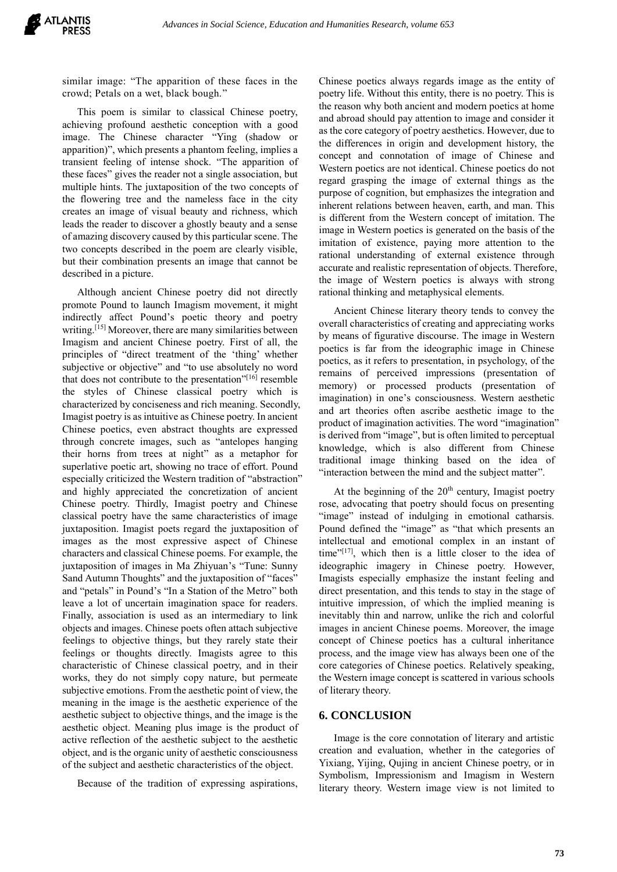similar image: "The apparition of these faces in the crowd; Petals on a wet, black bough."

This poem is similar to classical Chinese poetry, achieving profound aesthetic conception with a good image. The Chinese character "Ying (shadow or apparition)", which presents a phantom feeling, implies a transient feeling of intense shock. "The apparition of these faces" gives the reader not a single association, but multiple hints. The juxtaposition of the two concepts of the flowering tree and the nameless face in the city creates an image of visual beauty and richness, which leads the reader to discover a ghostly beauty and a sense of amazing discovery caused by this particular scene. The two concepts described in the poem are clearly visible, but their combination presents an image that cannot be described in a picture.

Although ancient Chinese poetry did not directly promote Pound to launch Imagism movement, it might indirectly affect Pound's poetic theory and poetry writing.<sup>[15]</sup> Moreover, there are many similarities between Imagism and ancient Chinese poetry. First of all, the principles of "direct treatment of the 'thing' whether subjective or objective" and "to use absolutely no word that does not contribute to the presentation" [16] resemble the styles of Chinese classical poetry which is characterized by conciseness and rich meaning. Secondly, Imagist poetry is as intuitive as Chinese poetry. In ancient Chinese poetics, even abstract thoughts are expressed through concrete images, such as "antelopes hanging their horns from trees at night" as a metaphor for superlative poetic art, showing no trace of effort. Pound especially criticized the Western tradition of "abstraction" and highly appreciated the concretization of ancient Chinese poetry. Thirdly, Imagist poetry and Chinese classical poetry have the same characteristics of image juxtaposition. Imagist poets regard the juxtaposition of images as the most expressive aspect of Chinese characters and classical Chinese poems. For example, the juxtaposition of images in Ma Zhiyuan's "Tune: Sunny Sand Autumn Thoughts" and the juxtaposition of "faces" and "petals" in Pound's "In a Station of the Metro" both leave a lot of uncertain imagination space for readers. Finally, association is used as an intermediary to link objects and images. Chinese poets often attach subjective feelings to objective things, but they rarely state their feelings or thoughts directly. Imagists agree to this characteristic of Chinese classical poetry, and in their works, they do not simply copy nature, but permeate subjective emotions. From the aesthetic point of view, the meaning in the image is the aesthetic experience of the aesthetic subject to objective things, and the image is the aesthetic object. Meaning plus image is the product of active reflection of the aesthetic subject to the aesthetic object, and is the organic unity of aesthetic consciousness of the subject and aesthetic characteristics of the object.

Because of the tradition of expressing aspirations,

Chinese poetics always regards image as the entity of poetry life. Without this entity, there is no poetry. This is the reason why both ancient and modern poetics at home and abroad should pay attention to image and consider it as the core category of poetry aesthetics. However, due to the differences in origin and development history, the concept and connotation of image of Chinese and Western poetics are not identical. Chinese poetics do not regard grasping the image of external things as the purpose of cognition, but emphasizes the integration and inherent relations between heaven, earth, and man. This is different from the Western concept of imitation. The image in Western poetics is generated on the basis of the imitation of existence, paying more attention to the rational understanding of external existence through accurate and realistic representation of objects. Therefore, the image of Western poetics is always with strong rational thinking and metaphysical elements.

Ancient Chinese literary theory tends to convey the overall characteristics of creating and appreciating works by means of figurative discourse. The image in Western poetics is far from the ideographic image in Chinese poetics, as it refers to presentation, in psychology, of the remains of perceived impressions (presentation of memory) or processed products (presentation of imagination) in one's consciousness. Western aesthetic and art theories often ascribe aesthetic image to the product of imagination activities. The word "imagination" is derived from "image", but is often limited to perceptual knowledge, which is also different from Chinese traditional image thinking based on the idea of "interaction between the mind and the subject matter".

At the beginning of the  $20<sup>th</sup>$  century, Imagist poetry rose, advocating that poetry should focus on presenting "image" instead of indulging in emotional catharsis. Pound defined the "image" as "that which presents an intellectual and emotional complex in an instant of time"[17], which then is a little closer to the idea of ideographic imagery in Chinese poetry. However, Imagists especially emphasize the instant feeling and direct presentation, and this tends to stay in the stage of intuitive impression, of which the implied meaning is inevitably thin and narrow, unlike the rich and colorful images in ancient Chinese poems. Moreover, the image concept of Chinese poetics has a cultural inheritance process, and the image view has always been one of the core categories of Chinese poetics. Relatively speaking, the Western image concept is scattered in various schools of literary theory.

#### **6. CONCLUSION**

Image is the core connotation of literary and artistic creation and evaluation, whether in the categories of Yixiang, Yijing, Qujing in ancient Chinese poetry, or in Symbolism, Impressionism and Imagism in Western literary theory. Western image view is not limited to